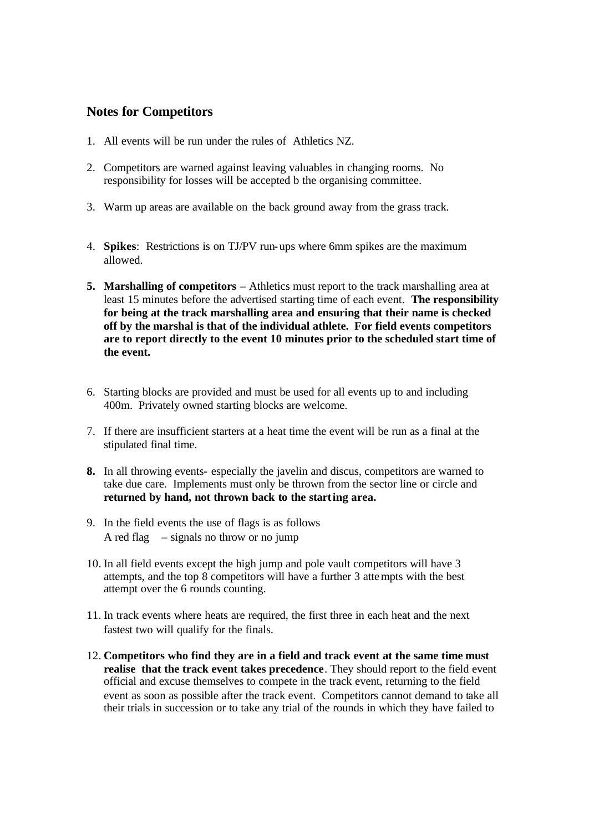## **Notes for Competitors**

- 1. All events will be run under the rules of Athletics NZ.
- 2. Competitors are warned against leaving valuables in changing rooms. No responsibility for losses will be accepted b the organising committee.
- 3. Warm up areas are available on the back ground away from the grass track.
- 4. **Spikes**: Restrictions is on TJ/PV run-ups where 6mm spikes are the maximum allowed.
- **5. Marshalling of competitors** Athletics must report to the track marshalling area at least 15 minutes before the advertised starting time of each event. **The responsibility for being at the track marshalling area and ensuring that their name is checked off by the marshal is that of the individual athlete. For field events competitors are to report directly to the event 10 minutes prior to the scheduled start time of the event.**
- 6. Starting blocks are provided and must be used for all events up to and including 400m. Privately owned starting blocks are welcome.
- 7. If there are insufficient starters at a heat time the event will be run as a final at the stipulated final time.
- **8.** In all throwing events- especially the javelin and discus, competitors are warned to take due care. Implements must only be thrown from the sector line or circle and **returned by hand, not thrown back to the starting area.**
- 9. In the field events the use of flags is as follows A red flag  $-$  signals no throw or no jump
- 10. In all field events except the high jump and pole vault competitors will have 3 attempts, and the top 8 competitors will have a further 3 attempts with the best attempt over the 6 rounds counting.
- 11. In track events where heats are required, the first three in each heat and the next fastest two will qualify for the finals.
- 12. **Competitors who find they are in a field and track event at the same time must realise that the track event takes precedence**. They should report to the field event official and excuse themselves to compete in the track event, returning to the field event as soon as possible after the track event. Competitors cannot demand to take all their trials in succession or to take any trial of the rounds in which they have failed to